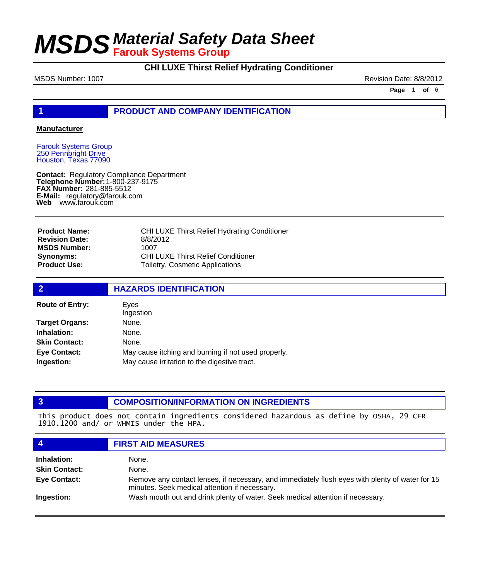### **CHI LUXE Thirst Relief Hydrating Conditioner**

MSDS Number: 1007 **Revision Date: 8/8/2012** 

**Page** 1 **of** 6

#### **1 PRODUCT AND COMPANY IDENTIFICATION**

#### **Manufacturer**

Farouk Systems Group 250 Pennbright Drive Houston, Texas 77090

**Contact: Telephone Number: FAX Number:** 281-885-5512 **E-Mail:** regulatory@farouk.com **Web** www.farouk.com Regulatory Compliance Department 1-800-237-9175

**Product Name: Revision Date: MSDS Number: Synonyms: Product Use:**

CHI LUXE Thirst Relief Hydrating Conditioner 8/8/2012 1007 CHI LUXE Thirst Relief Conditioner Toiletry, Cosmetic Applications

| $\overline{2}$         | <b>HAZARDS IDENTIFICATION</b>                       |
|------------------------|-----------------------------------------------------|
| <b>Route of Entry:</b> | Eves<br>Ingestion                                   |
| <b>Target Organs:</b>  | None.                                               |
| Inhalation:            | None.                                               |
| <b>Skin Contact:</b>   | None.                                               |
| <b>Eye Contact:</b>    | May cause itching and burning if not used properly. |
| Ingestion:             | May cause irritation to the digestive tract.        |

### **3 COMPOSITION/INFORMATION ON INGREDIENTS**

This product does not contain ingredients considered hazardous as define by OSHA, 29 CFR 1910.1200 and/ or WHMIS under the HPA.

| $\boldsymbol{4}$     | <b>FIRST AID MEASURES</b>                                                                                                                        |
|----------------------|--------------------------------------------------------------------------------------------------------------------------------------------------|
| Inhalation:          | None.                                                                                                                                            |
| <b>Skin Contact:</b> | None.                                                                                                                                            |
| <b>Eye Contact:</b>  | Remove any contact lenses, if necessary, and immediately flush eyes with plenty of water for 15<br>minutes. Seek medical attention if necessary. |
| Ingestion:           | Wash mouth out and drink plenty of water. Seek medical attention if necessary.                                                                   |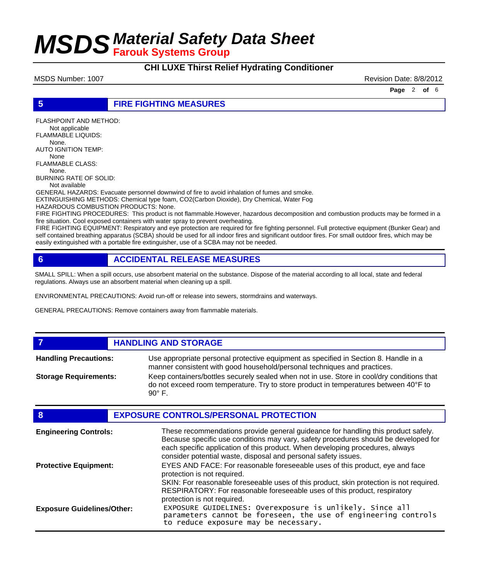**CHI LUXE Thirst Relief Hydrating Conditioner**

MSDS Number: 1007 **Revision Date: 8/8/2012** Revision Date: 8/8/2012

**Page** 2 **of** 6

#### **5 FIRE FIGHTING MEASURES**

FLASHPOINT AND METHOD: Not applicable FLAMMABLE LIQUIDS: None. AUTO IGNITION TEMP: None FLAMMABLE CLASS: None. BURNING RATE OF SOLID:

Not available

GENERAL HAZARDS: Evacuate personnel downwind of fire to avoid inhalation of fumes and smoke. EXTINGUISHING METHODS: Chemical type foam, CO2(Carbon Dioxide), Dry Chemical, Water Fog

HAZARDOUS COMBUSTION PRODUCTS: None.

FIRE FIGHTING PROCEDURES: This product is not flammable.However, hazardous decomposition and combustion products may be formed in a fire situation. Cool exposed containers with water spray to prevent overheating.

FIRE FIGHTING EQUIPMENT: Respiratory and eye protection are required for fire fighting personnel. Full protective equipment (Bunker Gear) and self contained breathing apparatus (SCBA) should be used for all indoor fires and significant outdoor fires. For small outdoor fires, which may be easily extinguished with a portable fire extinguisher, use of a SCBA may not be needed.

### **6 ACCIDENTAL RELEASE MEASURES**

SMALL SPILL: When a spill occurs, use absorbent material on the substance. Dispose of the material according to all local, state and federal regulations. Always use an absorbent material when cleaning up a spill.

ENVIRONMENTAL PRECAUTIONS: Avoid run-off or release into sewers, stormdrains and waterways.

GENERAL PRECAUTIONS: Remove containers away from flammable materials.

#### **7 HANDLING AND STORAGE**

Use appropriate personal protective equipment as specified in Section 8. Handle in a manner consistent with good household/personal techniques and practices. **Handling Precautions:** Keep containers/bottles securely sealed when not in use. Store in cool/dry conditions that do not exceed room temperature. Try to store product in temperatures between 40°F to  $90^\circ$  F. **Storage Requirements:**

| 8                                 | <b>EXPOSURE CONTROLS/PERSONAL PROTECTION</b>                                                                                                                                                                                                                                                                                |
|-----------------------------------|-----------------------------------------------------------------------------------------------------------------------------------------------------------------------------------------------------------------------------------------------------------------------------------------------------------------------------|
| <b>Engineering Controls:</b>      | These recommendations provide general guideance for handling this product safely.<br>Because specific use conditions may vary, safety procedures should be developed for<br>each specific application of this product. When developing procedures, always<br>consider potential waste, disposal and personal safety issues. |
| <b>Protective Equipment:</b>      | EYES AND FACE: For reasonable foreseeable uses of this product, eye and face<br>protection is not required.<br>SKIN: For reasonable foreseeable uses of this product, skin protection is not required.                                                                                                                      |
|                                   | RESPIRATORY: For reasonable foreseeable uses of this product, respiratory<br>protection is not required.                                                                                                                                                                                                                    |
| <b>Exposure Guidelines/Other:</b> | EXPOSURE GUIDELINES: Overexposure is unlikely. Since all<br>parameters cannot be foreseen, the use of engineering controls<br>to reduce exposure may be necessary.                                                                                                                                                          |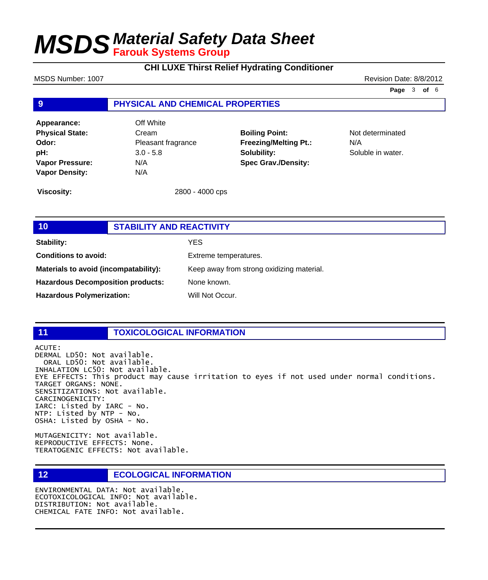## **CHI LUXE Thirst Relief Hydrating Conditioner**

#### MSDS Number: 1007 **Revision Date: 8/8/2012**

**Page** 3 **of** 6

#### **9 PHYSICAL AND CHEMICAL PROPERTIES**

**Appearance:** Off White **Physical State:** Cream **Odor:** Pleasant fragrance **pH:** 3.0 - 5.8 **Vapor Pressure:** N/A **Vapor Density:** N/A

**Boiling Point:** Not determinated **Freezing/Melting Pt.:** N/A **Solubility:** Soluble in water. **Spec Grav./Density:**

**Viscosity:** 2800 - 4000 cps

## **10 STABILITY AND REACTIVITY Stability:** YES **Conditions to avoid:** Extreme temperatures. **Materials to avoid (incompatability):** Keep away from strong oxidizing material. Hazardous Decomposition products: None known. Hazardous Polymerization: Will Not Occur.

### **11 TOXICOLOGICAL INFORMATION**

ACUTE: DERMAL LD50: Not available. ORAL LD50: Not available. INHALATION LC50: Not available. EYE EFFECTS: This product may cause irritation to eyes if not used under normal conditions. TARGET ORGANS: NONE. SENSITIZATIONS: Not available. CARCINOGENICITY: IARC: Listed by IARC - No. NTP: Listed by NTP - No. OSHA: Listed by OSHA - No.

MUTAGENICITY: Not available. REPRODUCTIVE EFFECTS: None. TERATOGENIC EFFECTS: Not available.

**12 ECOLOGICAL INFORMATION** 

ENVIRONMENTAL DATA: Not available. ECOTOXICOLOGICAL INFO: Not available. DISTRIBUTION: Not available. CHEMICAL FATE INFO: Not available.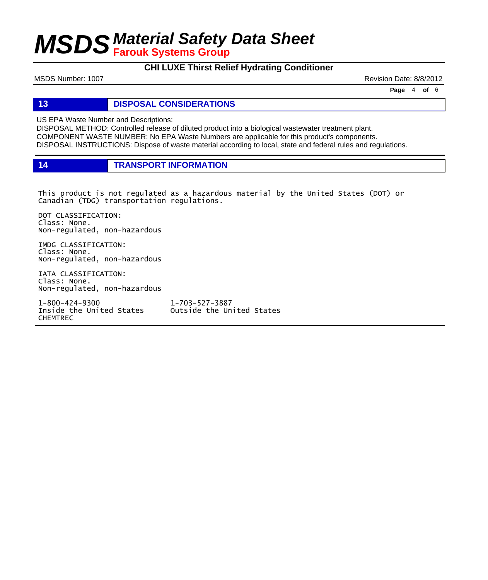### **CHI LUXE Thirst Relief Hydrating Conditioner**

MSDS Number: 1007 **Revision Date: 8/8/2012** 

**Page** 4 **of** 6

### **13 DISPOSAL CONSIDERATIONS**

US EPA Waste Number and Descriptions:

DISPOSAL METHOD: Controlled release of diluted product into a biological wastewater treatment plant. COMPONENT WASTE NUMBER: No EPA Waste Numbers are applicable for this product's components. DISPOSAL INSTRUCTIONS: Dispose of waste material according to local, state and federal rules and regulations.

**14 TRANSPORT INFORMATION**

This product is not regulated as a hazardous material by the United States (DOT) or Canadian (TDG) transportation regulations.

DOT CLASSIFICATION: Class: None. Non-regulated, non-hazardous

IMDG CLASSIFICATION: Class: None. Non-regulated, non-hazardous

IATA CLASSIFICATION: Class: None. Non-regulated, non-hazardous

1-800-424-9300 1-703-527-3887 CHEMTREC

Outside the United States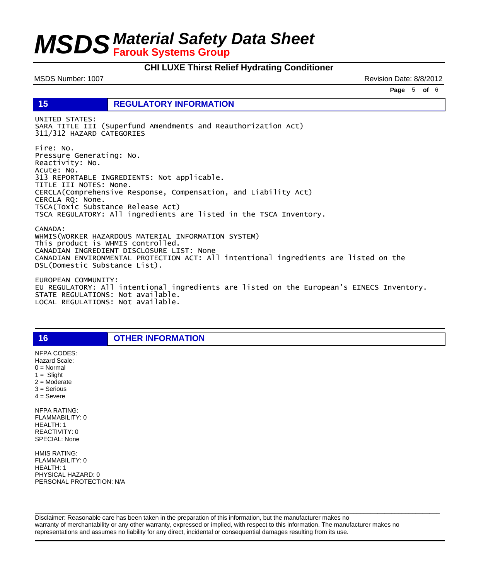#### **CHI LUXE Thirst Relief Hydrating Conditioner**

MSDS Number: 1007 Number: 1007 Number: 1007 Number: 8/8/2012

**Page** 5 **of** 6

**15 REGULATORY INFORMATION**

UNITED STATES: SARA TITLE III (Superfund Amendments and Reauthorization Act) 311/312 HAZARD CATEGORIES

Fire: No. Pressure Generating: No. Reactivity: No. Acute: No. 313 REPORTABLE INGREDIENTS: Not applicable. TITLE III NOTES: None. CERCLA(Comprehensive Response, Compensation, and Liability Act) CERCLA RQ: None. TSCA(Toxic Substance Release Act) TSCA REGULATORY: All ingredients are listed in the TSCA Inventory.

CANADA: WHMIS(WORKER HAZARDOUS MATERIAL INFORMATION SYSTEM) This product is WHMIS controlled. CANADIAN INGREDIENT DISCLOSURE LIST: None CANADIAN ENVIRONMENTAL PROTECTION ACT: All intentional ingredients are listed on the DSL(Domestic Substance List).

EUROPEAN COMMUNITY: EU REGULATORY: All intentional ingredients are listed on the European's EINECS Inventory. STATE REGULATIONS: Not available. LOCAL REGULATIONS: Not available.

**16 OTHER INFORMATION**

 $1 =$  Slight 2 = Moderate 3 = Serious  $4 =$  Severe NFPA RATING: FLAMMABILITY: 0 HEALTH: 1 REACTIVITY: 0 SPECIAL: None

NFPA CODES: Hazard Scale:  $0 =$  Normal

HMIS RATING: FLAMMABILITY: 0 HEALTH: 1 PHYSICAL HAZARD: 0 PERSONAL PROTECTION: N/A

Disclaimer: Reasonable care has been taken in the preparation of this information, but the manufacturer makes no warranty of merchantability or any other warranty, expressed or implied, with respect to this information. The manufacturer makes no representations and assumes no liability for any direct, incidental or consequential damages resulting from its use.

 $\Box$  . The contribution of the contribution of the contribution of the contribution of the contribution of the contribution of the contribution of the contribution of the contribution of the contribution of the contributi